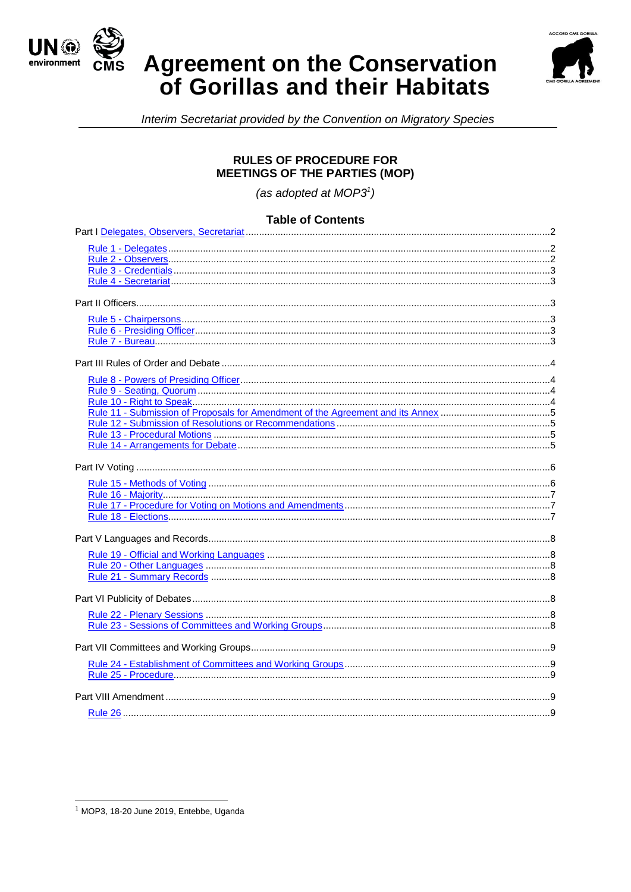





Interim Secretariat provided by the Convention on Migratory Species

### **RULES OF PROCEDURE FOR MEETINGS OF THE PARTIES (MOP)**

(as adopted at  $MOP3<sup>1</sup>$ )

### **Table of Contents**

 $1$  MOP3, 18-20 June 2019, Entebbe, Uganda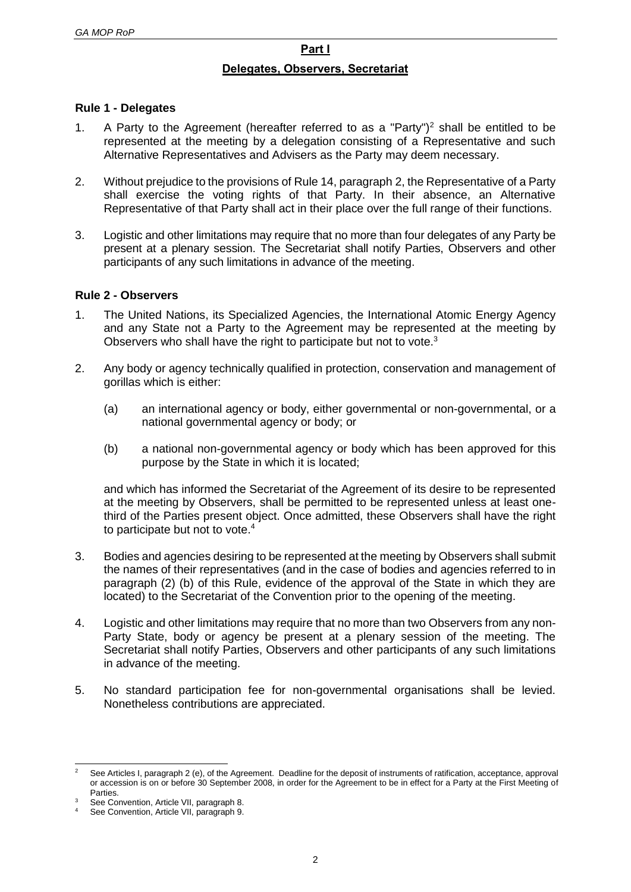# **Part I**

### **Delegates, Observers, Secretariat**

### <span id="page-1-1"></span><span id="page-1-0"></span>**Rule 1 - Delegates**

- 1. A Party to the Agreement (hereafter referred to as a "Party")<sup>2</sup> shall be entitled to be represented at the meeting by a delegation consisting of a Representative and such Alternative Representatives and Advisers as the Party may deem necessary.
- 2. Without prejudice to the provisions of Rule 14, paragraph 2, the Representative of a Party shall exercise the voting rights of that Party. In their absence, an Alternative Representative of that Party shall act in their place over the full range of their functions.
- 3. Logistic and other limitations may require that no more than four delegates of any Party be present at a plenary session. The Secretariat shall notify Parties, Observers and other participants of any such limitations in advance of the meeting.

### <span id="page-1-2"></span>**Rule 2 - Observers**

- 1. The United Nations, its Specialized Agencies, the International Atomic Energy Agency and any State not a Party to the Agreement may be represented at the meeting by Observers who shall have the right to participate but not to vote.<sup>3</sup>
- 2. Any body or agency technically qualified in protection, conservation and management of gorillas which is either:
	- (a) an international agency or body, either governmental or non-governmental, or a national governmental agency or body; or
	- (b) a national non-governmental agency or body which has been approved for this purpose by the State in which it is located;

and which has informed the Secretariat of the Agreement of its desire to be represented at the meeting by Observers, shall be permitted to be represented unless at least onethird of the Parties present object. Once admitted, these Observers shall have the right to participate but not to vote.<sup>4</sup>

- 3. Bodies and agencies desiring to be represented at the meeting by Observers shall submit the names of their representatives (and in the case of bodies and agencies referred to in paragraph (2) (b) of this Rule, evidence of the approval of the State in which they are located) to the Secretariat of the Convention prior to the opening of the meeting.
- 4. Logistic and other limitations may require that no more than two Observers from any non-Party State, body or agency be present at a plenary session of the meeting. The Secretariat shall notify Parties, Observers and other participants of any such limitations in advance of the meeting.
- 5. No standard participation fee for non-governmental organisations shall be levied. Nonetheless contributions are appreciated.

l See Articles I, paragraph 2 (e), of the Agreement. Deadline for the deposit of instruments of ratification, acceptance, approval or accession is on or before 30 September 2008, in order for the Agreement to be in effect for a Party at the First Meeting of Parties.

See Convention, Article VII, paragraph 8.

See Convention, Article VII, paragraph 9.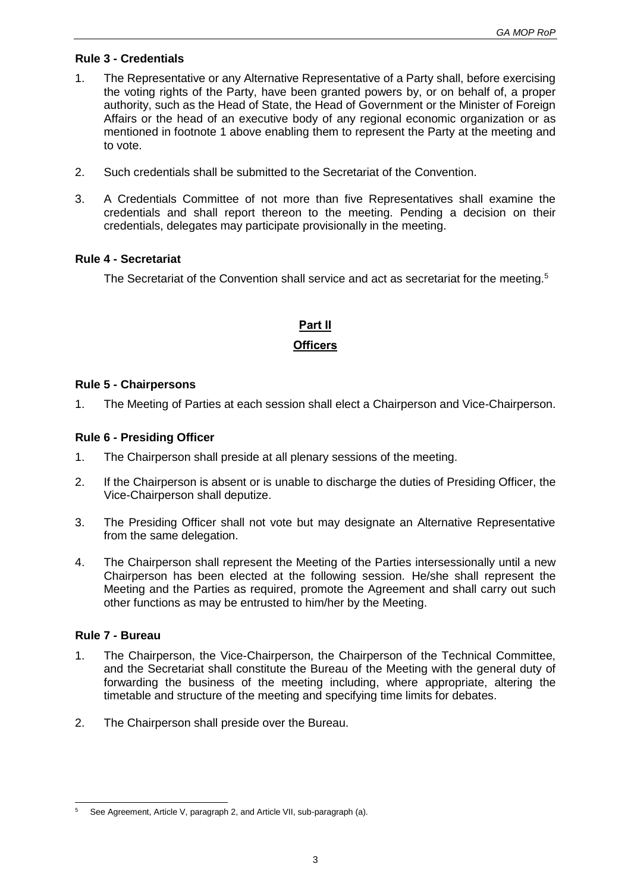### <span id="page-2-0"></span>**Rule 3 - Credentials**

- 1. The Representative or any Alternative Representative of a Party shall, before exercising the voting rights of the Party, have been granted powers by, or on behalf of, a proper authority, such as the Head of State, the Head of Government or the Minister of Foreign Affairs or the head of an executive body of any regional economic organization or as mentioned in footnote 1 above enabling them to represent the Party at the meeting and to vote.
- 2. Such credentials shall be submitted to the Secretariat of the Convention.
- 3. A Credentials Committee of not more than five Representatives shall examine the credentials and shall report thereon to the meeting. Pending a decision on their credentials, delegates may participate provisionally in the meeting.

### <span id="page-2-1"></span>**Rule 4 - Secretariat**

The Secretariat of the Convention shall service and act as secretariat for the meeting.<sup>5</sup>

# **Part II**

### **Officers**

### <span id="page-2-3"></span><span id="page-2-2"></span>**Rule 5 - Chairpersons**

1. The Meeting of Parties at each session shall elect a Chairperson and Vice-Chairperson.

### <span id="page-2-4"></span>**Rule 6 - Presiding Officer**

- 1. The Chairperson shall preside at all plenary sessions of the meeting.
- 2. If the Chairperson is absent or is unable to discharge the duties of Presiding Officer, the Vice-Chairperson shall deputize.
- 3. The Presiding Officer shall not vote but may designate an Alternative Representative from the same delegation.
- 4. The Chairperson shall represent the Meeting of the Parties intersessionally until a new Chairperson has been elected at the following session. He/she shall represent the Meeting and the Parties as required, promote the Agreement and shall carry out such other functions as may be entrusted to him/her by the Meeting.

### <span id="page-2-5"></span>**Rule 7 - Bureau**

- 1. The Chairperson, the Vice-Chairperson, the Chairperson of the Technical Committee, and the Secretariat shall constitute the Bureau of the Meeting with the general duty of forwarding the business of the meeting including, where appropriate, altering the timetable and structure of the meeting and specifying time limits for debates.
- 2. The Chairperson shall preside over the Bureau.

l See Agreement, Article V, paragraph 2, and Article VII, sub-paragraph (a).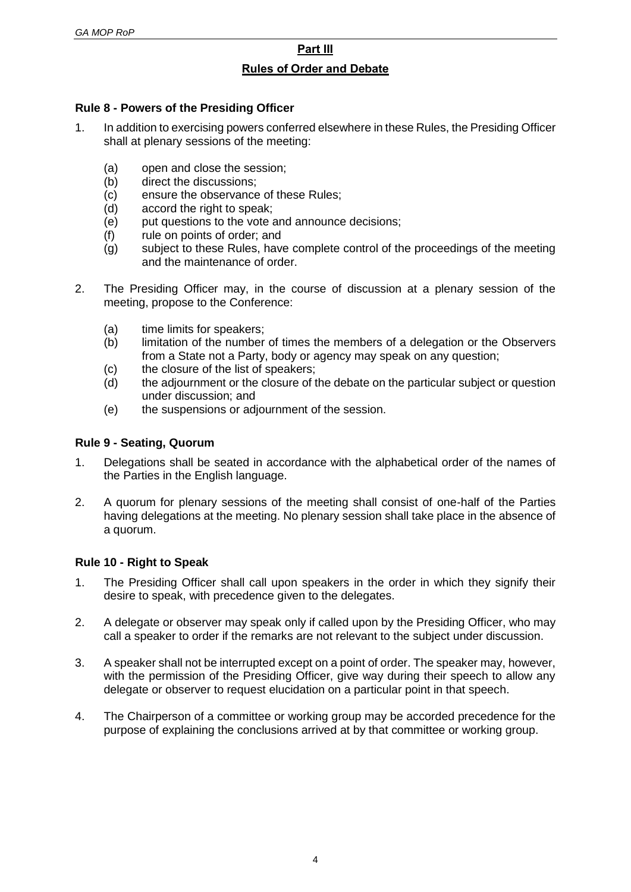# **Part III**

### **Rules of Order and Debate**

### <span id="page-3-1"></span><span id="page-3-0"></span>**Rule 8 - Powers of the Presiding Officer**

- 1. In addition to exercising powers conferred elsewhere in these Rules, the Presiding Officer shall at plenary sessions of the meeting:
	- (a) open and close the session;
	- (b) direct the discussions;
	- (c) ensure the observance of these Rules;
	- (d) accord the right to speak;
	- (e) put questions to the vote and announce decisions;
	- (f) rule on points of order; and
	- (g) subject to these Rules, have complete control of the proceedings of the meeting and the maintenance of order.
- 2. The Presiding Officer may, in the course of discussion at a plenary session of the meeting, propose to the Conference:
	- (a) time limits for speakers;
	- (b) limitation of the number of times the members of a delegation or the Observers from a State not a Party, body or agency may speak on any question;
	- (c) the closure of the list of speakers;
	- (d) the adjournment or the closure of the debate on the particular subject or question under discussion; and
	- (e) the suspensions or adjournment of the session.

### <span id="page-3-2"></span>**Rule 9 - Seating, Quorum**

- 1. Delegations shall be seated in accordance with the alphabetical order of the names of the Parties in the English language.
- 2. A quorum for plenary sessions of the meeting shall consist of one-half of the Parties having delegations at the meeting. No plenary session shall take place in the absence of a quorum.

### <span id="page-3-3"></span>**Rule 10 - Right to Speak**

- 1. The Presiding Officer shall call upon speakers in the order in which they signify their desire to speak, with precedence given to the delegates.
- 2. A delegate or observer may speak only if called upon by the Presiding Officer, who may call a speaker to order if the remarks are not relevant to the subject under discussion.
- 3. A speaker shall not be interrupted except on a point of order. The speaker may, however, with the permission of the Presiding Officer, give way during their speech to allow any delegate or observer to request elucidation on a particular point in that speech.
- 4. The Chairperson of a committee or working group may be accorded precedence for the purpose of explaining the conclusions arrived at by that committee or working group.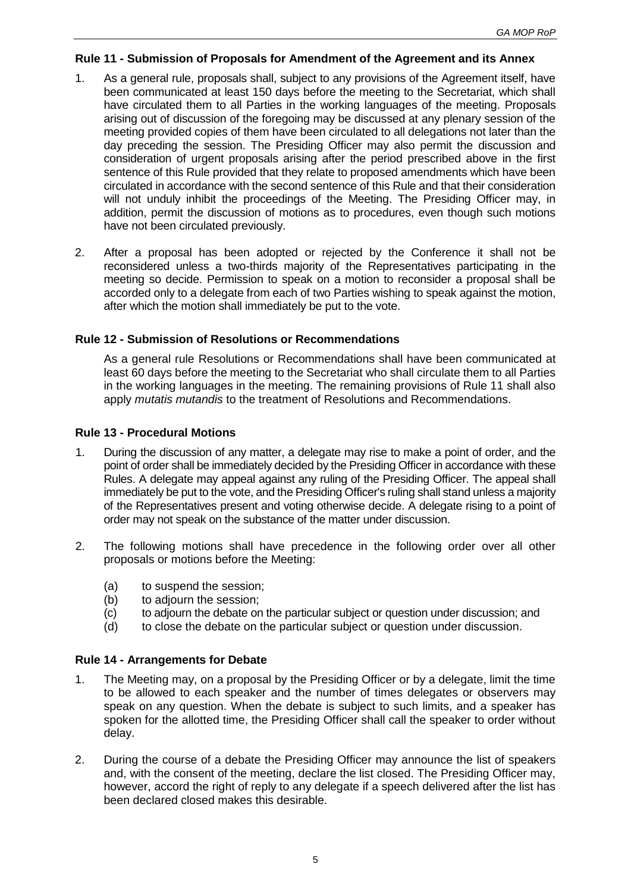### <span id="page-4-0"></span>**Rule 11 - Submission of Proposals for Amendment of the Agreement and its Annex**

- 1. As a general rule, proposals shall, subject to any provisions of the Agreement itself, have been communicated at least 150 days before the meeting to the Secretariat, which shall have circulated them to all Parties in the working languages of the meeting. Proposals arising out of discussion of the foregoing may be discussed at any plenary session of the meeting provided copies of them have been circulated to all delegations not later than the day preceding the session. The Presiding Officer may also permit the discussion and consideration of urgent proposals arising after the period prescribed above in the first sentence of this Rule provided that they relate to proposed amendments which have been circulated in accordance with the second sentence of this Rule and that their consideration will not unduly inhibit the proceedings of the Meeting. The Presiding Officer may, in addition, permit the discussion of motions as to procedures, even though such motions have not been circulated previously.
- 2. After a proposal has been adopted or rejected by the Conference it shall not be reconsidered unless a two-thirds majority of the Representatives participating in the meeting so decide. Permission to speak on a motion to reconsider a proposal shall be accorded only to a delegate from each of two Parties wishing to speak against the motion, after which the motion shall immediately be put to the vote.

### <span id="page-4-1"></span>**Rule 12 - Submission of Resolutions or Recommendations**

As a general rule Resolutions or Recommendations shall have been communicated at least 60 days before the meeting to the Secretariat who shall circulate them to all Parties in the working languages in the meeting. The remaining provisions of Rule 11 shall also apply *mutatis mutandis* to the treatment of Resolutions and Recommendations.

### <span id="page-4-2"></span>**Rule 13 - Procedural Motions**

- 1. During the discussion of any matter, a delegate may rise to make a point of order, and the point of order shall be immediately decided by the Presiding Officer in accordance with these Rules. A delegate may appeal against any ruling of the Presiding Officer. The appeal shall immediately be put to the vote, and the Presiding Officer's ruling shall stand unless a majority of the Representatives present and voting otherwise decide. A delegate rising to a point of order may not speak on the substance of the matter under discussion.
- 2. The following motions shall have precedence in the following order over all other proposals or motions before the Meeting:
	- (a) to suspend the session;
	- (b) to adjourn the session;
	- (c) to adjourn the debate on the particular subject or question under discussion; and
	- (d) to close the debate on the particular subject or question under discussion.

#### <span id="page-4-3"></span>**Rule 14 - Arrangements for Debate**

- 1. The Meeting may, on a proposal by the Presiding Officer or by a delegate, limit the time to be allowed to each speaker and the number of times delegates or observers may speak on any question. When the debate is subject to such limits, and a speaker has spoken for the allotted time, the Presiding Officer shall call the speaker to order without delay.
- 2. During the course of a debate the Presiding Officer may announce the list of speakers and, with the consent of the meeting, declare the list closed. The Presiding Officer may, however, accord the right of reply to any delegate if a speech delivered after the list has been declared closed makes this desirable.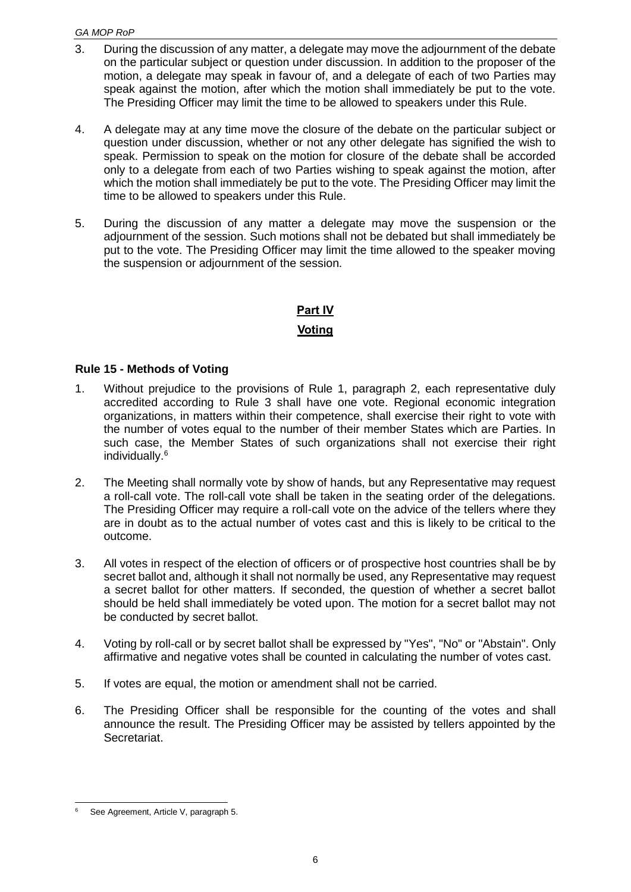#### *GA MOP RoP*

- 3. During the discussion of any matter, a delegate may move the adjournment of the debate on the particular subject or question under discussion. In addition to the proposer of the motion, a delegate may speak in favour of, and a delegate of each of two Parties may speak against the motion, after which the motion shall immediately be put to the vote. The Presiding Officer may limit the time to be allowed to speakers under this Rule.
- 4. A delegate may at any time move the closure of the debate on the particular subject or question under discussion, whether or not any other delegate has signified the wish to speak. Permission to speak on the motion for closure of the debate shall be accorded only to a delegate from each of two Parties wishing to speak against the motion, after which the motion shall immediately be put to the vote. The Presiding Officer may limit the time to be allowed to speakers under this Rule.
- 5. During the discussion of any matter a delegate may move the suspension or the adjournment of the session. Such motions shall not be debated but shall immediately be put to the vote. The Presiding Officer may limit the time allowed to the speaker moving the suspension or adjournment of the session.

### **Part IV**

### **Voting**

### <span id="page-5-1"></span><span id="page-5-0"></span>**Rule 15 - Methods of Voting**

- 1. Without prejudice to the provisions of Rule 1, paragraph 2, each representative duly accredited according to Rule 3 shall have one vote. Regional economic integration organizations, in matters within their competence, shall exercise their right to vote with the number of votes equal to the number of their member States which are Parties. In such case, the Member States of such organizations shall not exercise their right individually.<sup>6</sup>
- 2. The Meeting shall normally vote by show of hands, but any Representative may request a roll-call vote. The roll-call vote shall be taken in the seating order of the delegations. The Presiding Officer may require a roll-call vote on the advice of the tellers where they are in doubt as to the actual number of votes cast and this is likely to be critical to the outcome.
- 3. All votes in respect of the election of officers or of prospective host countries shall be by secret ballot and, although it shall not normally be used, any Representative may request a secret ballot for other matters. If seconded, the question of whether a secret ballot should be held shall immediately be voted upon. The motion for a secret ballot may not be conducted by secret ballot.
- 4. Voting by roll-call or by secret ballot shall be expressed by "Yes", "No" or "Abstain". Only affirmative and negative votes shall be counted in calculating the number of votes cast.
- 5. If votes are equal, the motion or amendment shall not be carried.
- 6. The Presiding Officer shall be responsible for the counting of the votes and shall announce the result. The Presiding Officer may be assisted by tellers appointed by the Secretariat.

l See Agreement, Article V, paragraph 5.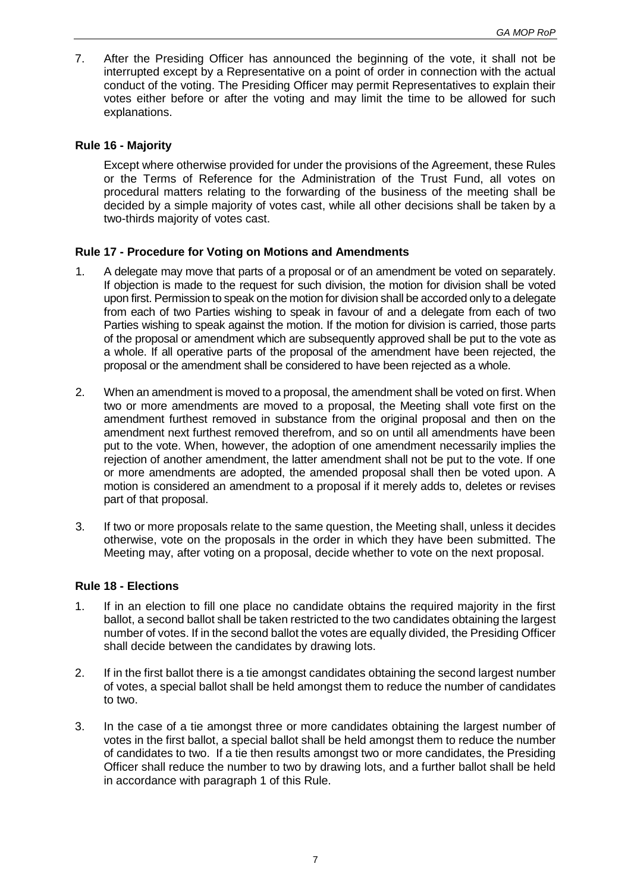7. After the Presiding Officer has announced the beginning of the vote, it shall not be interrupted except by a Representative on a point of order in connection with the actual conduct of the voting. The Presiding Officer may permit Representatives to explain their votes either before or after the voting and may limit the time to be allowed for such explanations.

### <span id="page-6-0"></span>**Rule 16 - Majority**

Except where otherwise provided for under the provisions of the Agreement, these Rules or the Terms of Reference for the Administration of the Trust Fund, all votes on procedural matters relating to the forwarding of the business of the meeting shall be decided by a simple majority of votes cast, while all other decisions shall be taken by a two-thirds majority of votes cast.

### <span id="page-6-1"></span>**Rule 17 - Procedure for Voting on Motions and Amendments**

- 1. A delegate may move that parts of a proposal or of an amendment be voted on separately. If objection is made to the request for such division, the motion for division shall be voted upon first. Permission to speak on the motion for division shall be accorded only to a delegate from each of two Parties wishing to speak in favour of and a delegate from each of two Parties wishing to speak against the motion. If the motion for division is carried, those parts of the proposal or amendment which are subsequently approved shall be put to the vote as a whole. If all operative parts of the proposal of the amendment have been rejected, the proposal or the amendment shall be considered to have been rejected as a whole.
- 2. When an amendment is moved to a proposal, the amendment shall be voted on first. When two or more amendments are moved to a proposal, the Meeting shall vote first on the amendment furthest removed in substance from the original proposal and then on the amendment next furthest removed therefrom, and so on until all amendments have been put to the vote. When, however, the adoption of one amendment necessarily implies the rejection of another amendment, the latter amendment shall not be put to the vote. If one or more amendments are adopted, the amended proposal shall then be voted upon. A motion is considered an amendment to a proposal if it merely adds to, deletes or revises part of that proposal.
- 3. If two or more proposals relate to the same question, the Meeting shall, unless it decides otherwise, vote on the proposals in the order in which they have been submitted. The Meeting may, after voting on a proposal, decide whether to vote on the next proposal.

#### <span id="page-6-2"></span>**Rule 18 - Elections**

- 1. If in an election to fill one place no candidate obtains the required majority in the first ballot, a second ballot shall be taken restricted to the two candidates obtaining the largest number of votes. If in the second ballot the votes are equally divided, the Presiding Officer shall decide between the candidates by drawing lots.
- 2. If in the first ballot there is a tie amongst candidates obtaining the second largest number of votes, a special ballot shall be held amongst them to reduce the number of candidates to two.
- 3. In the case of a tie amongst three or more candidates obtaining the largest number of votes in the first ballot, a special ballot shall be held amongst them to reduce the number of candidates to two. If a tie then results amongst two or more candidates, the Presiding Officer shall reduce the number to two by drawing lots, and a further ballot shall be held in accordance with paragraph 1 of this Rule.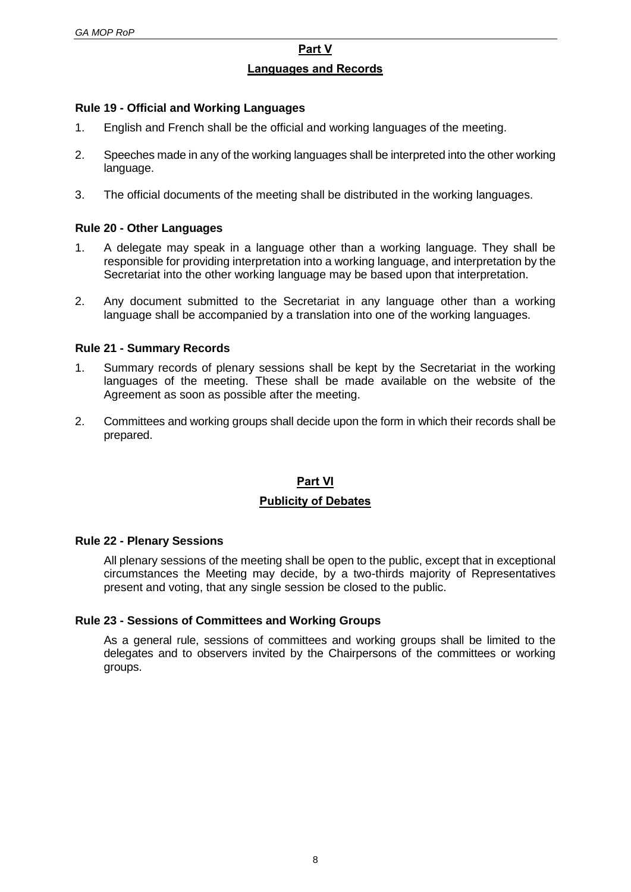### **Part V Languages and Records**

### <span id="page-7-1"></span><span id="page-7-0"></span>**Rule 19 - Official and Working Languages**

- 1. English and French shall be the official and working languages of the meeting.
- 2. Speeches made in any of the working languages shall be interpreted into the other working language.
- 3. The official documents of the meeting shall be distributed in the working languages.

### <span id="page-7-2"></span>**Rule 20 - Other Languages**

- 1. A delegate may speak in a language other than a working language. They shall be responsible for providing interpretation into a working language, and interpretation by the Secretariat into the other working language may be based upon that interpretation.
- 2. Any document submitted to the Secretariat in any language other than a working language shall be accompanied by a translation into one of the working languages.

### <span id="page-7-3"></span>**Rule 21 - Summary Records**

- 1. Summary records of plenary sessions shall be kept by the Secretariat in the working languages of the meeting. These shall be made available on the website of the Agreement as soon as possible after the meeting.
- 2. Committees and working groups shall decide upon the form in which their records shall be prepared.

### **Part VI Publicity of Debates**

#### <span id="page-7-5"></span><span id="page-7-4"></span>**Rule 22 - Plenary Sessions**

All plenary sessions of the meeting shall be open to the public, except that in exceptional circumstances the Meeting may decide, by a two-thirds majority of Representatives present and voting, that any single session be closed to the public.

#### <span id="page-7-6"></span>**Rule 23 - Sessions of Committees and Working Groups**

As a general rule, sessions of committees and working groups shall be limited to the delegates and to observers invited by the Chairpersons of the committees or working groups.